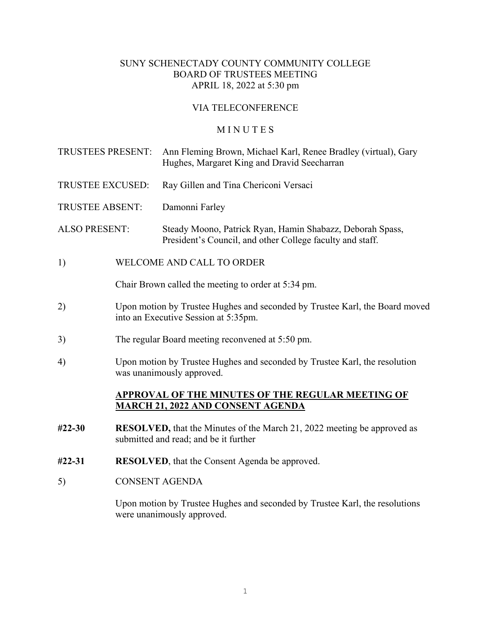# SUNY SCHENECTADY COUNTY COMMUNITY COLLEGE BOARD OF TRUSTEES MEETING APRIL 18, 2022 at 5:30 pm

# VIA TELECONFERENCE

### **MINUTES**

| TRUSTEES PRESENT:      |                                                                                                                          | Ann Fleming Brown, Michael Karl, Renee Bradley (virtual), Gary<br>Hughes, Margaret King and Dravid Seecharran          |
|------------------------|--------------------------------------------------------------------------------------------------------------------------|------------------------------------------------------------------------------------------------------------------------|
| TRUSTEE EXCUSED:       |                                                                                                                          | Ray Gillen and Tina Chericoni Versaci                                                                                  |
| <b>TRUSTEE ABSENT:</b> |                                                                                                                          | Damonni Farley                                                                                                         |
| <b>ALSO PRESENT:</b>   |                                                                                                                          | Steady Moono, Patrick Ryan, Hamin Shabazz, Deborah Spass,<br>President's Council, and other College faculty and staff. |
| 1)                     | WELCOME AND CALL TO ORDER                                                                                                |                                                                                                                        |
|                        | Chair Brown called the meeting to order at 5:34 pm.                                                                      |                                                                                                                        |
| 2)                     | Upon motion by Trustee Hughes and seconded by Trustee Karl, the Board moved<br>into an Executive Session at 5:35pm.      |                                                                                                                        |
| 3)                     | The regular Board meeting reconvened at 5:50 pm.                                                                         |                                                                                                                        |
| 4)                     | Upon motion by Trustee Hughes and seconded by Trustee Karl, the resolution<br>was unanimously approved.                  |                                                                                                                        |
|                        | <b>APPROVAL OF THE MINUTES OF THE REGULAR MEETING OF</b><br><u>MARCH 21, 2022 AND CONSENT AGENDA</u>                     |                                                                                                                        |
| $#22 - 30$             | <b>RESOLVED</b> , that the Minutes of the March 21, 2022 meeting be approved as<br>submitted and read; and be it further |                                                                                                                        |
| #22-31                 | <b>RESOLVED</b> , that the Consent Agenda be approved.                                                                   |                                                                                                                        |
| 5)                     | <b>CONSENT AGENDA</b>                                                                                                    |                                                                                                                        |
|                        |                                                                                                                          |                                                                                                                        |

Upon motion by Trustee Hughes and seconded by Trustee Karl, the resolutions were unanimously approved.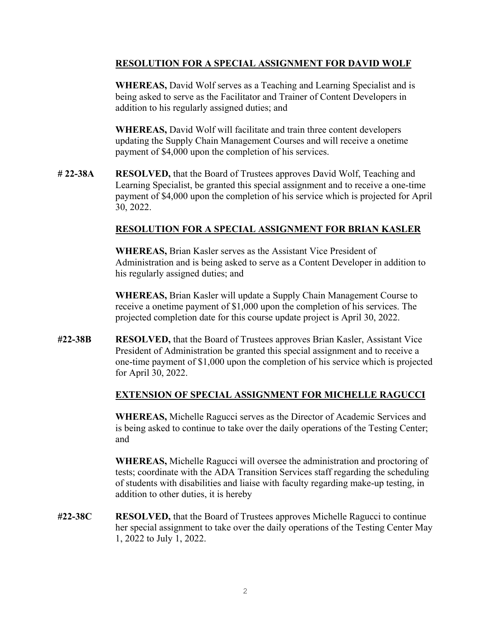## **RESOLUTION FOR A SPECIAL ASSIGNMENT FOR DAVID WOLF**

**WHEREAS,** David Wolf serves as a Teaching and Learning Specialist and is being asked to serve as the Facilitator and Trainer of Content Developers in addition to his regularly assigned duties; and

**WHEREAS,** David Wolf will facilitate and train three content developers updating the Supply Chain Management Courses and will receive a onetime payment of \$4,000 upon the completion of his services.

**# 22-38A RESOLVED,** that the Board of Trustees approves David Wolf, Teaching and Learning Specialist, be granted this special assignment and to receive a one-time payment of \$4,000 upon the completion of his service which is projected for April 30, 2022.

### **RESOLUTION FOR A SPECIAL ASSIGNMENT FOR BRIAN KASLER**

**WHEREAS,** Brian Kasler serves as the Assistant Vice President of Administration and is being asked to serve as a Content Developer in addition to his regularly assigned duties; and

**WHEREAS,** Brian Kasler will update a Supply Chain Management Course to receive a onetime payment of \$1,000 upon the completion of his services. The projected completion date for this course update project is April 30, 2022.

**#22-38B RESOLVED,** that the Board of Trustees approves Brian Kasler, Assistant Vice President of Administration be granted this special assignment and to receive a one-time payment of \$1,000 upon the completion of his service which is projected for April 30, 2022.

## **EXTENSION OF SPECIAL ASSIGNMENT FOR MICHELLE RAGUCCI**

**WHEREAS,** Michelle Ragucci serves as the Director of Academic Services and is being asked to continue to take over the daily operations of the Testing Center; and

**WHEREAS,** Michelle Ragucci will oversee the administration and proctoring of tests; coordinate with the ADA Transition Services staff regarding the scheduling of students with disabilities and liaise with faculty regarding make-up testing, in addition to other duties, it is hereby

**#22-38C RESOLVED,** that the Board of Trustees approves Michelle Ragucci to continue her special assignment to take over the daily operations of the Testing Center May 1, 2022 to July 1, 2022.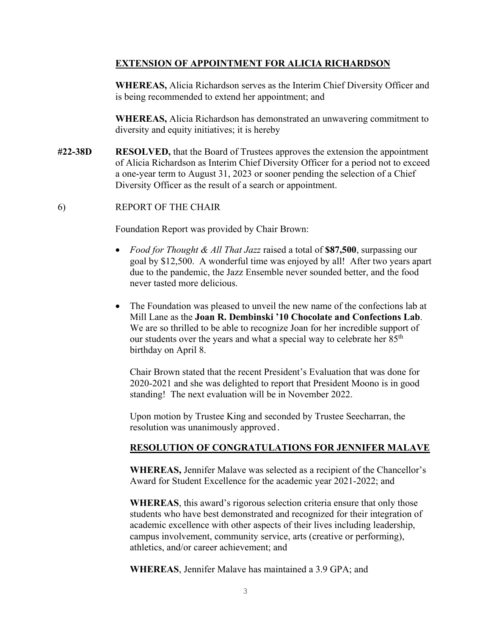#### **EXTENSION OF APPOINTMENT FOR ALICIA RICHARDSON**

**WHEREAS,** Alicia Richardson serves as the Interim Chief Diversity Officer and is being recommended to extend her appointment; and

**WHEREAS,** Alicia Richardson has demonstrated an unwavering commitment to diversity and equity initiatives; it is hereby

**#22-38D RESOLVED,** that the Board of Trustees approves the extension the appointment of Alicia Richardson as Interim Chief Diversity Officer for a period not to exceed a one-year term to August 31, 2023 or sooner pending the selection of a Chief Diversity Officer as the result of a search or appointment.

#### 6) REPORT OF THE CHAIR

Foundation Report was provided by Chair Brown:

- *Food for Thought & All That Jazz* raised a total of **\$87,500**, surpassing our goal by \$12,500. A wonderful time was enjoyed by all! After two years apart due to the pandemic, the Jazz Ensemble never sounded better, and the food never tasted more delicious.
- The Foundation was pleased to unveil the new name of the confections lab at Mill Lane as the **Joan R. Dembinski '10 Chocolate and Confections Lab**. We are so thrilled to be able to recognize Joan for her incredible support of our students over the years and what a special way to celebrate her 85<sup>th</sup> birthday on April 8.

Chair Brown stated that the recent President's Evaluation that was done for 2020-2021 and she was delighted to report that President Moono is in good standing! The next evaluation will be in November 2022.

Upon motion by Trustee King and seconded by Trustee Seecharran, the resolution was unanimously approved.

#### **RESOLUTION OF CONGRATULATIONS FOR JENNIFER MALAVE**

**WHEREAS,** Jennifer Malave was selected as a recipient of the Chancellor's Award for Student Excellence for the academic year 2021-2022; and

**WHEREAS**, this award's rigorous selection criteria ensure that only those students who have best demonstrated and recognized for their integration of academic excellence with other aspects of their lives including leadership, campus involvement, community service, arts (creative or performing), athletics, and/or career achievement; and

**WHEREAS**, Jennifer Malave has maintained a 3.9 GPA; and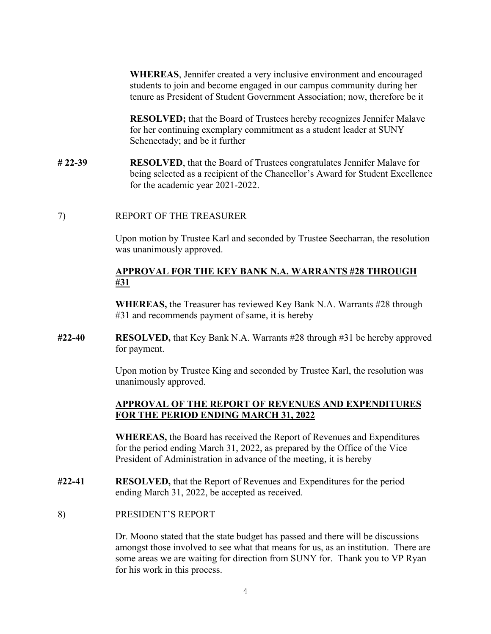**WHEREAS**, Jennifer created a very inclusive environment and encouraged students to join and become engaged in our campus community during her tenure as President of Student Government Association; now, therefore be it

**RESOLVED;** that the Board of Trustees hereby recognizes Jennifer Malave for her continuing exemplary commitment as a student leader at SUNY Schenectady; and be it further

**# 22-39 RESOLVED**, that the Board of Trustees congratulates Jennifer Malave for being selected as a recipient of the Chancellor's Award for Student Excellence for the academic year 2021-2022.

7) REPORT OF THE TREASURER

Upon motion by Trustee Karl and seconded by Trustee Seecharran, the resolution was unanimously approved.

#### **APPROVAL FOR THE KEY BANK N.A. WARRANTS #28 THROUGH #31**

**WHEREAS,** the Treasurer has reviewed Key Bank N.A. Warrants #28 through #31 and recommends payment of same, it is hereby

**#22-40 RESOLVED,** that Key Bank N.A. Warrants #28 through #31 be hereby approved for payment.

> Upon motion by Trustee King and seconded by Trustee Karl, the resolution was unanimously approved.

#### **APPROVAL OF THE REPORT OF REVENUES AND EXPENDITURES FOR THE PERIOD ENDING MARCH 31, 2022**

**WHEREAS,** the Board has received the Report of Revenues and Expenditures for the period ending March 31, 2022, as prepared by the Office of the Vice President of Administration in advance of the meeting, it is hereby

- **#22-41 RESOLVED,** that the Report of Revenues and Expenditures for the period ending March 31, 2022, be accepted as received.
- 8) PRESIDENT'S REPORT

Dr. Moono stated that the state budget has passed and there will be discussions amongst those involved to see what that means for us, as an institution. There are some areas we are waiting for direction from SUNY for. Thank you to VP Ryan for his work in this process.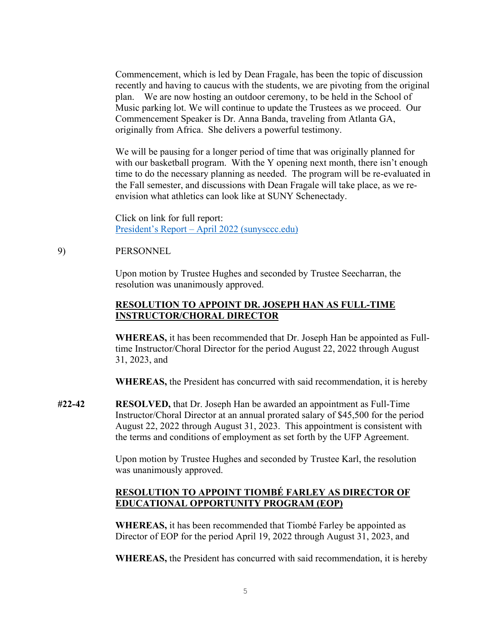Commencement, which is led by Dean Fragale, has been the topic of discussion recently and having to caucus with the students, we are pivoting from the original plan. We are now hosting an outdoor ceremony, to be held in the School of Music parking lot. We will continue to update the Trustees as we proceed. Our Commencement Speaker is Dr. Anna Banda, traveling from Atlanta GA, originally from Africa. She delivers a powerful testimony.

We will be pausing for a longer period of time that was originally planned for with our basketball program. With the Y opening next month, there isn't enough time to do the necessary planning as needed. The program will be re-evaluated in the Fall semester, and discussions with Dean Fragale will take place, as we reenvision what athletics can look like at SUNY Schenectady.

Click on link for full report: [President's Report – April 2022 \(sunysccc.edu\)](https://sunysccc.edu/PDF/About%20SCCC/CollegeLeadershipVision/PresidentsReport_4-2022.pdf)

#### 9) PERSONNEL

Upon motion by Trustee Hughes and seconded by Trustee Seecharran, the resolution was unanimously approved.

### **RESOLUTION TO APPOINT DR. JOSEPH HAN AS FULL-TIME INSTRUCTOR/CHORAL DIRECTOR**

**WHEREAS,** it has been recommended that Dr. Joseph Han be appointed as Fulltime Instructor/Choral Director for the period August 22, 2022 through August 31, 2023, and

**WHEREAS,** the President has concurred with said recommendation, it is hereby

**#22-42 RESOLVED,** that Dr. Joseph Han be awarded an appointment as Full-Time Instructor/Choral Director at an annual prorated salary of \$45,500 for the period August 22, 2022 through August 31, 2023. This appointment is consistent with the terms and conditions of employment as set forth by the UFP Agreement.

> Upon motion by Trustee Hughes and seconded by Trustee Karl, the resolution was unanimously approved.

# **RESOLUTION TO APPOINT TIOMBÉ FARLEY AS DIRECTOR OF EDUCATIONAL OPPORTUNITY PROGRAM (EOP)**

**WHEREAS,** it has been recommended that Tiombé Farley be appointed as Director of EOP for the period April 19, 2022 through August 31, 2023, and

**WHEREAS,** the President has concurred with said recommendation, it is hereby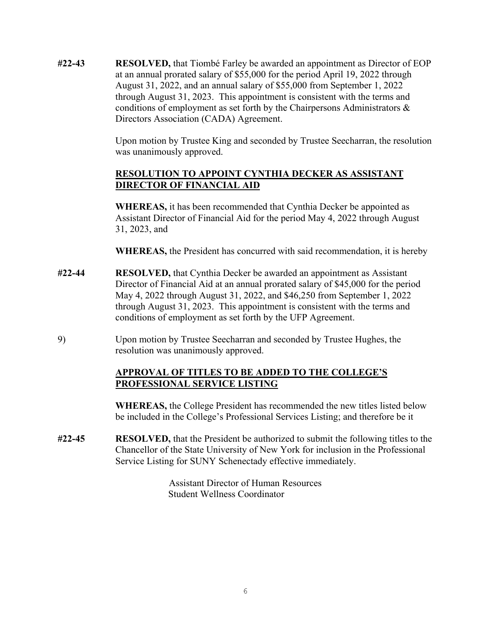**#22-43 RESOLVED,** that Tiombé Farley be awarded an appointment as Director of EOP at an annual prorated salary of \$55,000 for the period April 19, 2022 through August 31, 2022, and an annual salary of \$55,000 from September 1, 2022 through August 31, 2023. This appointment is consistent with the terms and conditions of employment as set forth by the Chairpersons Administrators & Directors Association (CADA) Agreement.

> Upon motion by Trustee King and seconded by Trustee Seecharran, the resolution was unanimously approved.

## **RESOLUTION TO APPOINT CYNTHIA DECKER AS ASSISTANT DIRECTOR OF FINANCIAL AID**

**WHEREAS,** it has been recommended that Cynthia Decker be appointed as Assistant Director of Financial Aid for the period May 4, 2022 through August 31, 2023, and

**WHEREAS,** the President has concurred with said recommendation, it is hereby

- **#22-44 RESOLVED,** that Cynthia Decker be awarded an appointment as Assistant Director of Financial Aid at an annual prorated salary of \$45,000 for the period May 4, 2022 through August 31, 2022, and \$46,250 from September 1, 2022 through August 31, 2023. This appointment is consistent with the terms and conditions of employment as set forth by the UFP Agreement.
- 9) Upon motion by Trustee Seecharran and seconded by Trustee Hughes, the resolution was unanimously approved.

# **APPROVAL OF TITLES TO BE ADDED TO THE COLLEGE'S PROFESSIONAL SERVICE LISTING**

**WHEREAS,** the College President has recommended the new titles listed below be included in the College's Professional Services Listing; and therefore be it

**#22-45 RESOLVED,** that the President be authorized to submit the following titles to the Chancellor of the State University of New York for inclusion in the Professional Service Listing for SUNY Schenectady effective immediately.

> Assistant Director of Human Resources Student Wellness Coordinator